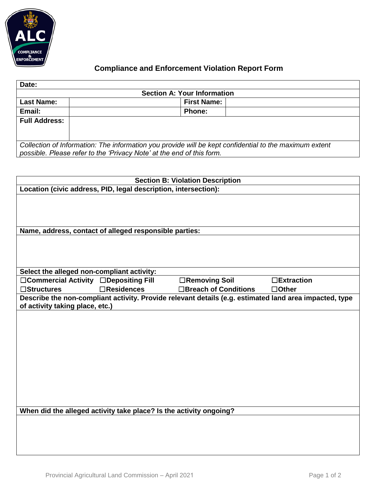

## **Compliance and Enforcement Violation Report Form**

| Date:                                                                                                  |                    |  |  |  |  |
|--------------------------------------------------------------------------------------------------------|--------------------|--|--|--|--|
| <b>Section A: Your Information</b>                                                                     |                    |  |  |  |  |
| <b>Last Name:</b>                                                                                      | <b>First Name:</b> |  |  |  |  |
| Email:                                                                                                 | <b>Phone:</b>      |  |  |  |  |
| <b>Full Address:</b>                                                                                   |                    |  |  |  |  |
|                                                                                                        |                    |  |  |  |  |
|                                                                                                        |                    |  |  |  |  |
| Collection of Information: The information you provide will be kept confidential to the maximum extent |                    |  |  |  |  |
| possible. Please refer to the 'Privacy Note' at the end of this form.                                  |                    |  |  |  |  |

| <b>Section B: Violation Description</b>                                                                |                   |                       |                   |  |  |
|--------------------------------------------------------------------------------------------------------|-------------------|-----------------------|-------------------|--|--|
| Location (civic address, PID, legal description, intersection):                                        |                   |                       |                   |  |  |
|                                                                                                        |                   |                       |                   |  |  |
|                                                                                                        |                   |                       |                   |  |  |
|                                                                                                        |                   |                       |                   |  |  |
| Name, address, contact of alleged responsible parties:                                                 |                   |                       |                   |  |  |
|                                                                                                        |                   |                       |                   |  |  |
|                                                                                                        |                   |                       |                   |  |  |
|                                                                                                        |                   |                       |                   |  |  |
| Select the alleged non-compliant activity:                                                             |                   |                       |                   |  |  |
| □Commercial Activity □Depositing Fill                                                                  |                   | □Removing Soil        | $\Box$ Extraction |  |  |
| $\square$ Structures                                                                                   | $\Box$ Residences | □Breach of Conditions | $\Box$ Other      |  |  |
| Describe the non-compliant activity. Provide relevant details (e.g. estimated land area impacted, type |                   |                       |                   |  |  |
| of activity taking place, etc.)                                                                        |                   |                       |                   |  |  |
|                                                                                                        |                   |                       |                   |  |  |
|                                                                                                        |                   |                       |                   |  |  |
|                                                                                                        |                   |                       |                   |  |  |
|                                                                                                        |                   |                       |                   |  |  |
|                                                                                                        |                   |                       |                   |  |  |
|                                                                                                        |                   |                       |                   |  |  |
|                                                                                                        |                   |                       |                   |  |  |
|                                                                                                        |                   |                       |                   |  |  |
|                                                                                                        |                   |                       |                   |  |  |
|                                                                                                        |                   |                       |                   |  |  |
| When did the alleged activity take place? Is the activity ongoing?                                     |                   |                       |                   |  |  |
|                                                                                                        |                   |                       |                   |  |  |
|                                                                                                        |                   |                       |                   |  |  |
|                                                                                                        |                   |                       |                   |  |  |
|                                                                                                        |                   |                       |                   |  |  |